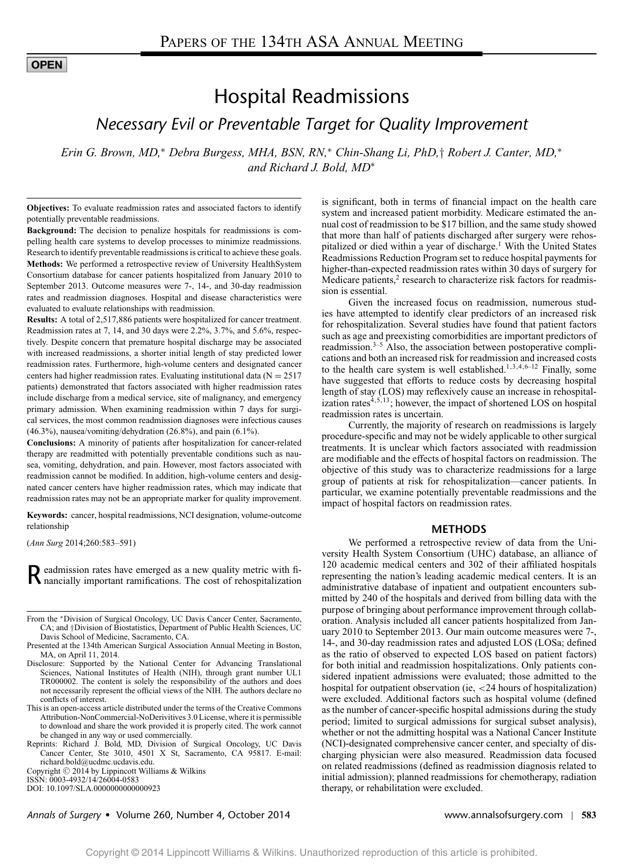# Hospital Readmissions

# *Necessary Evil or Preventable Target for Quality Improvement*

*Erin G. Brown, MD,*<sup>∗</sup> *Debra Burgess, MHA, BSN, RN,*<sup>∗</sup> *Chin-Shang Li, PhD,*† *Robert J. Canter, MD,*<sup>∗</sup> *and Richard J. Bold, MD*<sup>∗</sup>

**Objectives:** To evaluate readmission rates and associated factors to identify potentially preventable readmissions.

**Background:** The decision to penalize hospitals for readmissions is compelling health care systems to develop processes to minimize readmissions. Research to identify preventable readmissions is critical to achieve these goals. **Methods:** We performed a retrospective review of University HealthSystem Consortium database for cancer patients hospitalized from January 2010 to September 2013. Outcome measures were 7-, 14-, and 30-day readmission rates and readmission diagnoses. Hospital and disease characteristics were evaluated to evaluate relationships with readmission.

**Results:** A total of 2,517,886 patients were hospitalized for cancer treatment. Readmission rates at 7, 14, and 30 days were 2.2%, 3.7%, and 5.6%, respectively. Despite concern that premature hospital discharge may be associated with increased readmissions, a shorter initial length of stay predicted lower readmission rates. Furthermore, high-volume centers and designated cancer centers had higher readmission rates. Evaluating institutional data ( $N = 2517$ patients) demonstrated that factors associated with higher readmission rates include discharge from a medical service, site of malignancy, and emergency primary admission. When examining readmission within 7 days for surgical services, the most common readmission diagnoses were infectious causes  $(46.3\%)$ , nausea/vomiting/dehydration  $(26.8\%)$ , and pain  $(6.1\%)$ .

**Conclusions:** A minority of patients after hospitalization for cancer-related therapy are readmitted with potentially preventable conditions such as nausea, vomiting, dehydration, and pain. However, most factors associated with readmission cannot be modified. In addition, high-volume centers and designated cancer centers have higher readmission rates, which may indicate that readmission rates may not be an appropriate marker for quality improvement.

**Keywords:** cancer, hospital readmissions, NCI designation, volume-outcome relationship

(*Ann Surg* 2014;260:583–591)

Readmission rates have emerged as a new quality metric with fi-nancially important ramifications. The cost of rehospitalization

Copyright <sup>C</sup> 2014 by Lippincott Williams & Wilkins ISSN: 0003-4932/14/26004-0583

DOI: 10.1097/SLA.0000000000000923

Annals of Surgery • Volume 260, Number 4, October 2014 **www.annalsofsurgery.com** | 583

is significant, both in terms of financial impact on the health care system and increased patient morbidity. Medicare estimated the annual cost of readmission to be \$17 billion, and the same study showed that more than half of patients discharged after surgery were rehospitalized or died within a year of discharge.<sup>1</sup> With the United States Readmissions Reduction Program set to reduce hospital payments for higher-than-expected readmission rates within 30 days of surgery for Medicare patients, $<sup>2</sup>$  research to characterize risk factors for readmis-</sup> sion is essential.

Given the increased focus on readmission, numerous studies have attempted to identify clear predictors of an increased risk for rehospitalization. Several studies have found that patient factors such as age and preexisting comorbidities are important predictors of readmission.3–5 Also, the association between postoperative complications and both an increased risk for readmission and increased costs to the health care system is well established.<sup>1,3,4,6–12</sup> Finally, some have suggested that efforts to reduce costs by decreasing hospital length of stay (LOS) may reflexively cause an increase in rehospitalization rates $4,5,13$ ; however, the impact of shortened LOS on hospital readmission rates is uncertain.

Currently, the majority of research on readmissions is largely procedure-specific and may not be widely applicable to other surgical treatments. It is unclear which factors associated with readmission are modifiable and the effects of hospital factors on readmission. The objective of this study was to characterize readmissions for a large group of patients at risk for rehospitalization—cancer patients. In particular, we examine potentially preventable readmissions and the impact of hospital factors on readmission rates.

#### **METHODS**

We performed a retrospective review of data from the University Health System Consortium (UHC) database, an alliance of 120 academic medical centers and 302 of their affiliated hospitals representing the nation's leading academic medical centers. It is an administrative database of inpatient and outpatient encounters submitted by 240 of the hospitals and derived from billing data with the purpose of bringing about performance improvement through collaboration. Analysis included all cancer patients hospitalized from January 2010 to September 2013. Our main outcome measures were 7-, 14-, and 30-day readmission rates and adjusted LOS (LOSa; defined as the ratio of observed to expected LOS based on patient factors) for both initial and readmission hospitalizations. Only patients considered inpatient admissions were evaluated; those admitted to the hospital for outpatient observation (ie, <24 hours of hospitalization) were excluded. Additional factors such as hospital volume (defined as the number of cancer-specific hospital admissions during the study period; limited to surgical admissions for surgical subset analysis), whether or not the admitting hospital was a National Cancer Institute (NCI)-designated comprehensive cancer center, and specialty of discharging physician were also measured. Readmission data focused on related readmissions (defined as readmission diagnosis related to initial admission); planned readmissions for chemotherapy, radiation therapy, or rehabilitation were excluded.

From the \*Division of Surgical Oncology, UC Davis Cancer Center, Sacramento, CA; and †Division of Biostatistics, Department of Public Health Sciences, UC Davis School of Medicine, Sacramento, CA.

Presented at the 134th American Surgical Association Annual Meeting in Boston, MA, on April 11, 2014.

Disclosure: Supported by the National Center for Advancing Translational Sciences, National Institutes of Health (NIH), through grant number UL1 TR000002. The content is solely the responsibility of the authors and does not necessarily represent the official views of the NIH. The authors declare no conflicts of interest.

This is an open-access article distributed under the terms of the Creative Commons Attribution-NonCommercial-NoDerivitives 3.0 License, where it is permissible to download and share the work provided it is properly cited. The work cannot be changed in any way or used commercially.

Reprints: Richard J. Bold, MD, Division of Surgical Oncology, UC Davis Cancer Center, Ste 3010, 4501 X St, Sacramento, CA 95817. E-mail: [richard.bold@ucdmc.ucdavis.edu.](mailto:richard.bold@ucdmc.ucdavis.edu)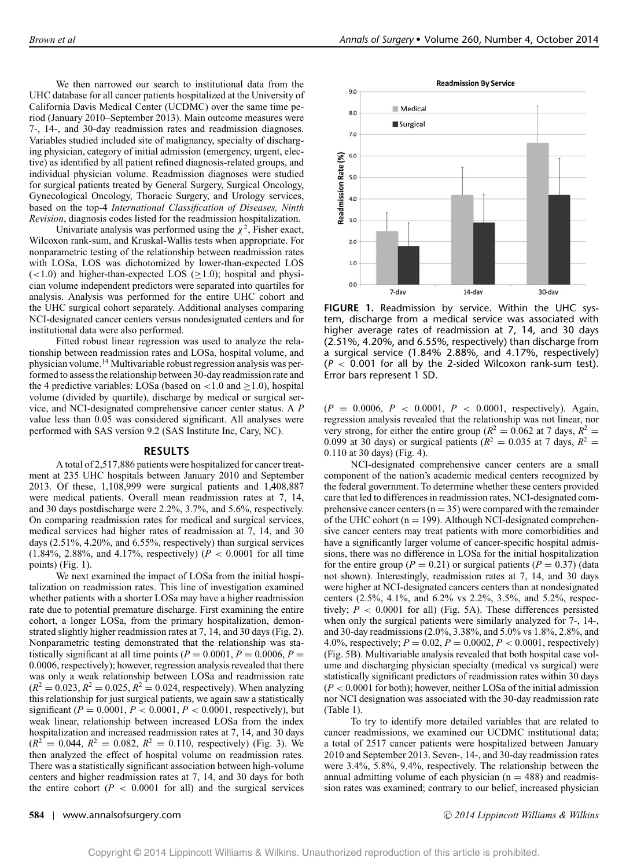We then narrowed our search to institutional data from the UHC database for all cancer patients hospitalized at the University of California Davis Medical Center (UCDMC) over the same time period (January 2010–September 2013). Main outcome measures were 7-, 14-, and 30-day readmission rates and readmission diagnoses. Variables studied included site of malignancy, specialty of discharging physician, category of initial admission (emergency, urgent, elective) as identified by all patient refined diagnosis-related groups, and individual physician volume. Readmission diagnoses were studied for surgical patients treated by General Surgery, Surgical Oncology, Gynecological Oncology, Thoracic Surgery, and Urology services, based on the top-4 *International Classification of Diseases, Ninth Revision*, diagnosis codes listed for the readmission hospitalization.

Univariate analysis was performed using the  $\chi^2$ , Fisher exact, Wilcoxon rank-sum, and Kruskal-Wallis tests when appropriate. For nonparametric testing of the relationship between readmission rates with LOSa, LOS was dichotomized by lower-than-expected LOS  $(<1.0$ ) and higher-than-expected LOS  $(>1.0)$ ; hospital and physician volume independent predictors were separated into quartiles for analysis. Analysis was performed for the entire UHC cohort and the UHC surgical cohort separately. Additional analyses comparing NCI-designated cancer centers versus nondesignated centers and for institutional data were also performed.

Fitted robust linear regression was used to analyze the relationship between readmission rates and LOSa, hospital volume, and physician volume.14 Multivariable robust regression analysis was performed to assess the relationship between 30-day readmission rate and the 4 predictive variables: LOSa (based on  $<$  1.0 and  $\geq$  1.0), hospital volume (divided by quartile), discharge by medical or surgical service, and NCI-designated comprehensive cancer center status. A *P* value less than 0.05 was considered significant. All analyses were performed with SAS version 9.2 (SAS Institute Inc, Cary, NC).

#### **RESULTS**

A total of 2,517,886 patients were hospitalized for cancer treatment at 235 UHC hospitals between January 2010 and September 2013. Of these, 1,108,999 were surgical patients and 1,408,887 were medical patients. Overall mean readmission rates at 7, 14, and 30 days postdischarge were 2.2%, 3.7%, and 5.6%, respectively. On comparing readmission rates for medical and surgical services, medical services had higher rates of readmission at 7, 14, and 30 days (2.51%, 4.20%, and 6.55%, respectively) than surgical services  $(1.84\%, 2.88\%, \text{ and } 4.17\%, \text{ respectively})$  ( $P < 0.0001$  for all time points) (Fig. 1).

We next examined the impact of LOSa from the initial hospitalization on readmission rates. This line of investigation examined whether patients with a shorter LOSa may have a higher readmission rate due to potential premature discharge. First examining the entire cohort, a longer LOSa, from the primary hospitalization, demonstrated slightly higher readmission rates at 7, 14, and 30 days (Fig. 2). Nonparametric testing demonstrated that the relationship was statistically significant at all time points  $(P = 0.0001, P = 0.0006, P =$ 0.0006, respectively); however, regression analysis revealed that there was only a weak relationship between LOSa and readmission rate  $(R^2 = 0.023, R^2 = 0.025, R^2 = 0.024$ , respectively). When analyzing this relationship for just surgical patients, we again saw a statistically significant ( $P = 0.0001, P < 0.0001, P < 0.0001$ , respectively), but weak linear, relationship between increased LOSa from the index hospitalization and increased readmission rates at 7, 14, and 30 days  $(R^{2} = 0.044, R^{2} = 0.082, R^{2} = 0.110$ , respectively) (Fig. 3). We then analyzed the effect of hospital volume on readmission rates. There was a statistically significant association between high-volume centers and higher readmission rates at 7, 14, and 30 days for both the entire cohort  $(P < 0.0001$  for all) and the surgical services



**FIGURE 1.** Readmission by service. Within the UHC system, discharge from a medical service was associated with higher average rates of readmission at 7, 14, and 30 days (2.51%, 4.20%, and 6.55%, respectively) than discharge from a surgical service (1.84% 2.88%, and 4.17%, respectively)  $(P < 0.001$  for all by the 2-sided Wilcoxon rank-sum test). Error bars represent 1 SD.

 $(P = 0.0006, P < 0.0001, P < 0.0001, \text{ respectively}).$  Again, regression analysis revealed that the relationship was not linear, nor very strong, for either the entire group ( $R^2 = 0.062$  at 7 days,  $R^2 =$ 0.099 at 30 days) or surgical patients ( $R^2 = 0.035$  at 7 days,  $R^2 =$ 0.110 at 30 days) (Fig. 4).

NCI-designated comprehensive cancer centers are a small component of the nation's academic medical centers recognized by the federal government. To determine whether these centers provided care that led to differences in readmission rates, NCI-designated comprehensive cancer centers  $(n = 35)$  were compared with the remainder of the UHC cohort ( $n = 199$ ). Although NCI-designated comprehensive cancer centers may treat patients with more comorbidities and have a significantly larger volume of cancer-specific hospital admissions, there was no difference in LOSa for the initial hospitalization for the entire group ( $P = 0.21$ ) or surgical patients ( $P = 0.37$ ) (data not shown). Interestingly, readmission rates at 7, 14, and 30 days were higher at NCI-designated cancers centers than at nondesignated centers (2.5%, 4.1%, and 6.2% vs 2.2%, 3.5%, and 5.2%, respectively;  $P < 0.0001$  for all) (Fig. 5A). These differences persisted when only the surgical patients were similarly analyzed for 7-, 14-, and 30-day readmissions (2.0%, 3.38%, and 5.0% vs 1.8%, 2.8%, and 4.0%, respectively;  $P = 0.02$ ,  $P = 0.0002$ ,  $P < 0.0001$ , respectively) (Fig. 5B). Multivariable analysis revealed that both hospital case volume and discharging physician specialty (medical vs surgical) were statistically significant predictors of readmission rates within 30 days  $(P < 0.0001$  for both); however, neither LOSa of the initial admission nor NCI designation was associated with the 30-day readmission rate (Table 1).

To try to identify more detailed variables that are related to cancer readmissions, we examined our UCDMC institutional data; a total of 2517 cancer patients were hospitalized between January 2010 and September 2013. Seven-, 14-, and 30-day readmission rates were 3.4%, 5.8%, 9.4%, respectively. The relationship between the annual admitting volume of each physician  $(n = 488)$  and readmission rates was examined; contrary to our belief, increased physician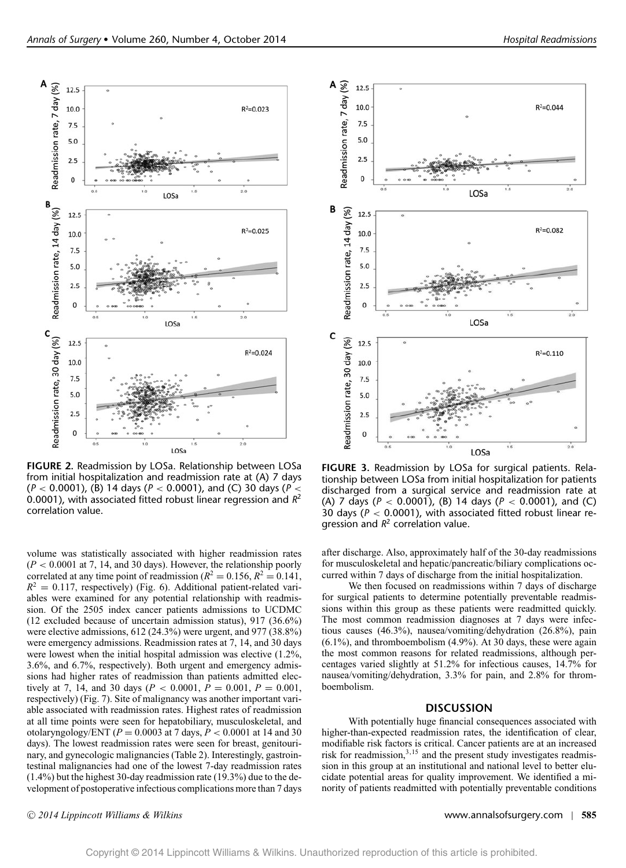

**FIGURE 2.** Readmission by LOSa. Relationship between LOSa from initial hospitalization and readmission rate at (A) 7 days (*P* < 0.0001), (B) 14 days (*P* < 0.0001), and (C) 30 days (*P* < 0.0001), with associated fitted robust linear regression and *R*<sup>2</sup> correlation value.

volume was statistically associated with higher readmission rates  $(P < 0.0001$  at 7, 14, and 30 days). However, the relationship poorly correlated at any time point of readmission ( $R^2 = 0.156$ ,  $R^2 = 0.141$ ,  $R^2 = 0.117$ , respectively) (Fig. 6). Additional patient-related variables were examined for any potential relationship with readmission. Of the 2505 index cancer patients admissions to UCDMC (12 excluded because of uncertain admission status), 917 (36.6%) were elective admissions, 612 (24.3%) were urgent, and 977 (38.8%) were emergency admissions. Readmission rates at 7, 14, and 30 days were lowest when the initial hospital admission was elective (1.2%, 3.6%, and 6.7%, respectively). Both urgent and emergency admissions had higher rates of readmission than patients admitted electively at 7, 14, and 30 days ( $P < 0.0001$ ,  $P = 0.001$ ,  $P = 0.001$ , respectively) (Fig. 7). Site of malignancy was another important variable associated with readmission rates. Highest rates of readmission at all time points were seen for hepatobiliary, musculoskeletal, and otolaryngology/ENT (*P* = 0.0003 at 7 days, *P* < 0.0001 at 14 and 30 days). The lowest readmission rates were seen for breast, genitourinary, and gynecologic malignancies (Table 2). Interestingly, gastrointestinal malignancies had one of the lowest 7-day readmission rates (1.4%) but the highest 30-day readmission rate (19.3%) due to the development of postoperative infectious complications more than 7 days



**FIGURE 3.** Readmission by LOSa for surgical patients. Relationship between LOSa from initial hospitalization for patients discharged from a surgical service and readmission rate at (A) 7 days (*P* < 0.0001), (B) 14 days (*P* < 0.0001), and (C) 30 days (*P* < 0.0001), with associated fitted robust linear regression and *R*<sup>2</sup> correlation value.

after discharge. Also, approximately half of the 30-day readmissions for musculoskeletal and hepatic/pancreatic/biliary complications occurred within 7 days of discharge from the initial hospitalization.

We then focused on readmissions within 7 days of discharge for surgical patients to determine potentially preventable readmissions within this group as these patients were readmitted quickly. The most common readmission diagnoses at 7 days were infectious causes (46.3%), nausea/vomiting/dehydration (26.8%), pain (6.1%), and thromboembolism (4.9%). At 30 days, these were again the most common reasons for related readmissions, although percentages varied slightly at 51.2% for infectious causes, 14.7% for nausea/vomiting/dehydration, 3.3% for pain, and 2.8% for thromboembolism.

### **DISCUSSION**

With potentially huge financial consequences associated with higher-than-expected readmission rates, the identification of clear, modifiable risk factors is critical. Cancer patients are at an increased risk for readmission, $3,15$  and the present study investigates readmission in this group at an institutional and national level to better elucidate potential areas for quality improvement. We identified a minority of patients readmitted with potentially preventable conditions

#### <sup>C</sup> *2014 Lippincott Williams & Wilkins* www.annalsofsurgery.com | **585**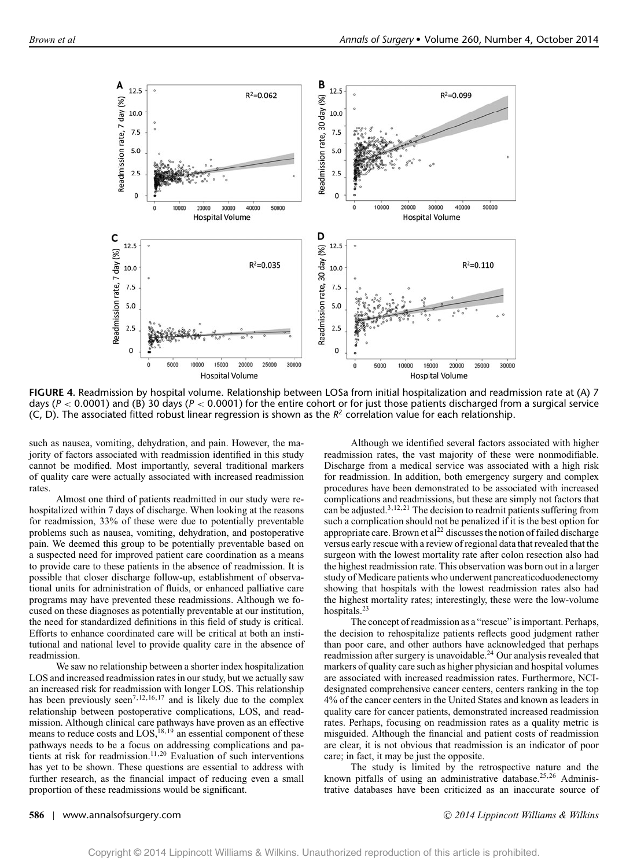

**FIGURE 4.** Readmission by hospital volume. Relationship between LOSa from initial hospitalization and readmission rate at (A) 7 days (*P* < 0.0001) and (B) 30 days (*P* < 0.0001) for the entire cohort or for just those patients discharged from a surgical service  $(C, D)$ . The associated fitted robust linear regression is shown as the  $R<sup>2</sup>$  correlation value for each relationship.

such as nausea, vomiting, dehydration, and pain. However, the majority of factors associated with readmission identified in this study cannot be modified. Most importantly, several traditional markers of quality care were actually associated with increased readmission rates.

Almost one third of patients readmitted in our study were rehospitalized within 7 days of discharge. When looking at the reasons for readmission, 33% of these were due to potentially preventable problems such as nausea, vomiting, dehydration, and postoperative pain. We deemed this group to be potentially preventable based on a suspected need for improved patient care coordination as a means to provide care to these patients in the absence of readmission. It is possible that closer discharge follow-up, establishment of observational units for administration of fluids, or enhanced palliative care programs may have prevented these readmissions. Although we focused on these diagnoses as potentially preventable at our institution, the need for standardized definitions in this field of study is critical. Efforts to enhance coordinated care will be critical at both an institutional and national level to provide quality care in the absence of readmission.

We saw no relationship between a shorter index hospitalization LOS and increased readmission rates in our study, but we actually saw an increased risk for readmission with longer LOS. This relationship has been previously seen<sup>7,12,16,17</sup> and is likely due to the complex relationship between postoperative complications, LOS, and readmission. Although clinical care pathways have proven as an effective means to reduce costs and  $LOS<sup>{18,19}</sup>$ , an essential component of these pathways needs to be a focus on addressing complications and patients at risk for readmission.<sup>11,20</sup> Evaluation of such interventions has yet to be shown. These questions are essential to address with further research, as the financial impact of reducing even a small proportion of these readmissions would be significant.

Although we identified several factors associated with higher readmission rates, the vast majority of these were nonmodifiable. Discharge from a medical service was associated with a high risk for readmission. In addition, both emergency surgery and complex procedures have been demonstrated to be associated with increased complications and readmissions, but these are simply not factors that can be adjusted.3,12,21 The decision to readmit patients suffering from such a complication should not be penalized if it is the best option for appropriate care. Brown et  $al^{22}$  discusses the notion of failed discharge versus early rescue with a review of regional data that revealed that the surgeon with the lowest mortality rate after colon resection also had the highest readmission rate. This observation was born out in a larger study of Medicare patients who underwent pancreaticoduodenectomy showing that hospitals with the lowest readmission rates also had the highest mortality rates; interestingly, these were the low-volume hospitals.<sup>23</sup>

The concept of readmission as a "rescue" is important. Perhaps, the decision to rehospitalize patients reflects good judgment rather than poor care, and other authors have acknowledged that perhaps readmission after surgery is unavoidable.<sup>24</sup> Our analysis revealed that markers of quality care such as higher physician and hospital volumes are associated with increased readmission rates. Furthermore, NCIdesignated comprehensive cancer centers, centers ranking in the top 4% of the cancer centers in the United States and known as leaders in quality care for cancer patients, demonstrated increased readmission rates. Perhaps, focusing on readmission rates as a quality metric is misguided. Although the financial and patient costs of readmission are clear, it is not obvious that readmission is an indicator of poor care; in fact, it may be just the opposite.

The study is limited by the retrospective nature and the known pitfalls of using an administrative database.<sup>25,26</sup> Administrative databases have been criticized as an inaccurate source of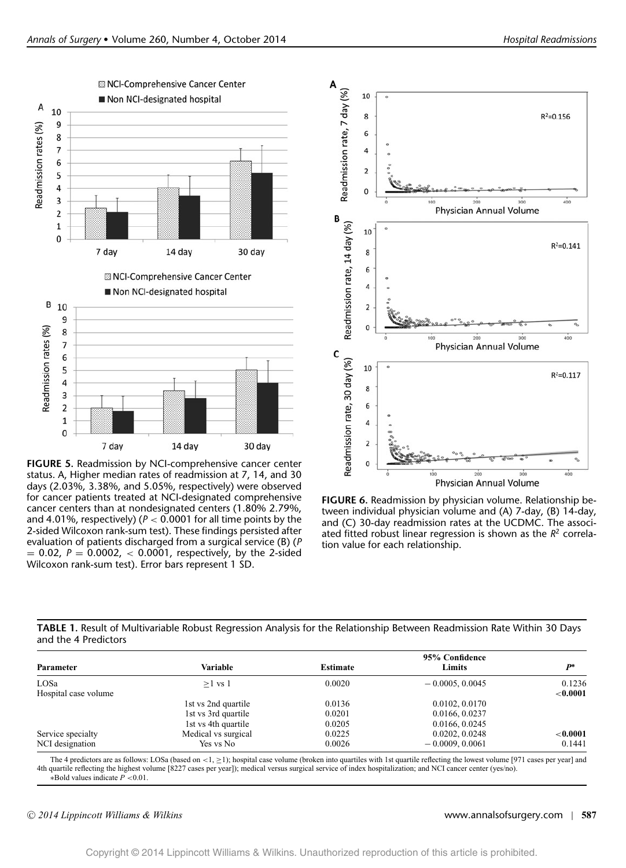

**FIGURE 5.** Readmission by NCI-comprehensive cancer center status. A, Higher median rates of readmission at 7, 14, and 30 days (2.03%, 3.38%, and 5.05%, respectively) were observed for cancer patients treated at NCI-designated comprehensive cancer centers than at nondesignated centers (1.80% 2.79%, and 4.01%, respectively) ( $P < 0.0001$  for all time points by the 2-sided Wilcoxon rank-sum test). These findings persisted after evaluation of patients discharged from a surgical service (B) (*P*  $= 0.02$ ,  $P = 0.0002$ ,  $< 0.0001$ , respectively, by the 2-sided Wilcoxon rank-sum test). Error bars represent 1 SD.



**FIGURE 6.** Readmission by physician volume. Relationship between individual physician volume and (A) 7-day, (B) 14-day, and (C) 30-day readmission rates at the UCDMC. The associated fitted robust linear regression is shown as the *R*<sup>2</sup> correlation value for each relationship.

**TABLE 1.** Result of Multivariable Robust Regression Analysis for the Relationship Between Readmission Rate Within 30 Days and the 4 Predictors

| <b>Parameter</b>     | Variable            | <b>Estimate</b> | 95% Confidence<br>Limits | p*          |
|----------------------|---------------------|-----------------|--------------------------|-------------|
| LOSa                 | $>1$ vs 1           | 0.0020          | $-0.0005, 0.0045$        | 0.1236      |
| Hospital case volume |                     |                 |                          | ${<}0.0001$ |
|                      | 1st vs 2nd quartile | 0.0136          | 0.0102, 0.0170           |             |
|                      | 1st vs 3rd quartile | 0.0201          | 0.0166, 0.0237           |             |
|                      | 1st vs 4th quartile | 0.0205          | 0.0166, 0.0245           |             |
| Service specialty    | Medical vs surgical | 0.0225          | 0.0202, 0.0248           | ${<}0.0001$ |
| NCI designation      | Yes vs No           | 0.0026          | $-0.0009, 0.0061$        | 0.1441      |

The 4 predictors are as follows: LOSa (based on <1, ≥1); hospital case volume (broken into quartiles with 1st quartile reflecting the lowest volume [971 cases per year] and 4th quartile reflecting the highest volume [8227 cases per year]); medical versus surgical service of index hospitalization; and NCI cancer center (yes/no). ∗Bold values indicate *P* <0.01.

#### <sup>C</sup> *2014 Lippincott Williams & Wilkins* www.annalsofsurgery.com | **587**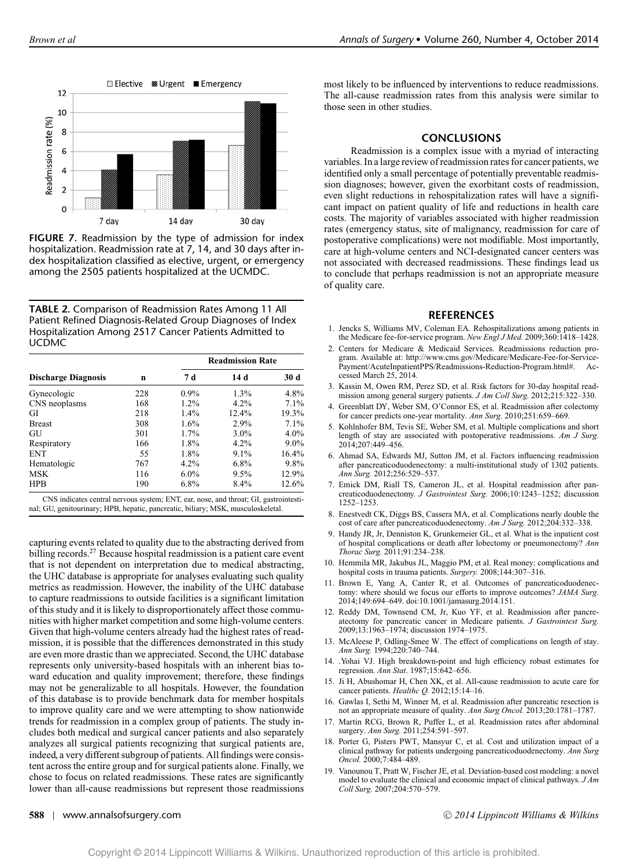

**FIGURE 7.** Readmission by the type of admission for index hospitalization. Readmission rate at 7, 14, and 30 days after index hospitalization classified as elective, urgent, or emergency among the 2505 patients hospitalized at the UCMDC.

**TABLE 2.** Comparison of Readmission Rates Among 11 All Patient Refined Diagnosis-Related Group Diagnoses of Index Hospitalization Among 2517 Cancer Patients Admitted to UCDMC

|                            | n   | <b>Readmission Rate</b> |         |         |
|----------------------------|-----|-------------------------|---------|---------|
| <b>Discharge Diagnosis</b> |     | 7 d                     | 14 d    | 30 d    |
| Gynecologic                | 228 | $0.9\%$                 | 1.3%    | 4.8%    |
| CNS neoplasms              | 168 | $1.2\%$                 | $4.2\%$ | $7.1\%$ |
| GI                         | 218 | $1.4\%$                 | 12.4%   | 19.3%   |
| <b>Breast</b>              | 308 | 1.6%                    | 2.9%    | 7.1%    |
| GU                         | 301 | $1.7\%$                 | $3.0\%$ | $4.0\%$ |
| Respiratory                | 166 | 1.8%                    | $4.2\%$ | $9.0\%$ |
| <b>ENT</b>                 | 55  | 1.8%                    | $9.1\%$ | 16.4%   |
| Hematologic                | 767 | $4.2\%$                 | $6.8\%$ | 9.8%    |
| <b>MSK</b>                 | 116 | $6.0\%$                 | 9.5%    | 12.9%   |
| <b>HPB</b>                 | 190 | $6.8\%$                 | 8.4%    | 12.6%   |

CNS indicates central nervous system; ENT, ear, nose, and throat; GI, gastrointestinal; GU, genitourinary; HPB, hepatic, pancreatic, biliary; MSK, musculoskeletal.

capturing events related to quality due to the abstracting derived from billing records.<sup>27</sup> Because hospital readmission is a patient care event that is not dependent on interpretation due to medical abstracting, the UHC database is appropriate for analyses evaluating such quality metrics as readmission. However, the inability of the UHC database to capture readmissions to outside facilities is a significant limitation of this study and it is likely to disproportionately affect those communities with higher market competition and some high-volume centers. Given that high-volume centers already had the highest rates of readmission, it is possible that the differences demonstrated in this study are even more drastic than we appreciated. Second, the UHC database represents only university-based hospitals with an inherent bias toward education and quality improvement; therefore, these findings may not be generalizable to all hospitals. However, the foundation of this database is to provide benchmark data for member hospitals to improve quality care and we were attempting to show nationwide trends for readmission in a complex group of patients. The study includes both medical and surgical cancer patients and also separately analyzes all surgical patients recognizing that surgical patients are, indeed, a very different subgroup of patients. All findings were consistent across the entire group and for surgical patients alone. Finally, we chose to focus on related readmissions. These rates are significantly lower than all-cause readmissions but represent those readmissions

most likely to be influenced by interventions to reduce readmissions. The all-cause readmission rates from this analysis were similar to those seen in other studies.

# **CONCLUSIONS**

Readmission is a complex issue with a myriad of interacting variables. In a large review of readmission rates for cancer patients, we identified only a small percentage of potentially preventable readmission diagnoses; however, given the exorbitant costs of readmission, even slight reductions in rehospitalization rates will have a significant impact on patient quality of life and reductions in health care costs. The majority of variables associated with higher readmission rates (emergency status, site of malignancy, readmission for care of postoperative complications) were not modifiable. Most importantly, care at high-volume centers and NCI-designated cancer centers was not associated with decreased readmissions. These findings lead us to conclude that perhaps readmission is not an appropriate measure of quality care.

## **REFERENCES**

- 1. Jencks S, Williams MV, Coleman EA. Rehospitalizations among patients in the Medicare fee-for-service program. *New Engl J Med.* 2009;360:1418–1428.
- 2. Centers for Medicare & Medicaid Services. Readmissions reduction program. Available at: [http://www.cms.gov/Medicare/Medicare-Fee-for-Service-](http://www.cms.gov/Medicare/Medicare-Fee-for-Service-Payment/AcuteInpatientPPS/Readmissions-Reduction-Program.html)[Payment/AcuteInpatientPPS/Readmissions-Reduction-Program.html#.](http://www.cms.gov/Medicare/Medicare-Fee-for-Service-Payment/AcuteInpatientPPS/Readmissions-Reduction-Program.html) cessed March 25, 2014.
- 3. Kassin M, Owen RM, Perez SD, et al. Risk factors for 30-day hospital readmission among general surgery patients. *J Am Coll Surg.* 2012;215:322–330.
- 4. Greenblatt DY, Weber SM, O'Connor ES, et al. Readmission after colectomy for cancer predicts one-year mortality. *Ann Surg.* 2010;251:659–669.
- 5. Kohlnhofer BM, Tevis SE, Weber SM, et al. Multiple complications and short length of stay are associated with postoperative readmissions. *Am J Surg.* 2014;207:449–456.
- 6. Ahmad SA, Edwards MJ, Sutton JM, et al. Factors influencing readmission after pancreaticoduodenectomy: a multi-institutional study of 1302 patients. *Ann Surg.* 2012;256:529–537.
- 7. Emick DM, Riall TS, Cameron JL, et al. Hospital readmission after pancreaticoduodenectomy. *J Gastrointest Surg.* 2006;10:1243–1252; discussion 1252–1253.
- 8. Enestvedt CK, Diggs BS, Cassera MA, et al. Complications nearly double the cost of care after pancreaticoduodenectomy. *Am J Surg.* 2012;204:332–338.
- 9. Handy JR, Jr, Denniston K, Grunkemeier GL, et al. What is the inpatient cost of hospital complications or death after lobectomy or pneumonectomy? *Ann Thorac Surg.* 2011;91:234–238.
- 10. Hemmila MR, Jakubus JL, Maggio PM, et al. Real money: complications and hospital costs in trauma patients. *Surgery.* 2008;144:307–316.
- 11. Brown E, Yang A, Canter R, et al. Outcomes of pancreaticoduodenectomy: where should we focus our efforts to improve outcomes? *JAMA Surg.* 2014;149:694–649. doi:10.1001/jamasurg.2014.151.
- 12. Reddy DM, Townsend CM, Jr, Kuo YF, et al. Readmission after pancreatectomy for pancreatic cancer in Medicare patients. *J Gastrointest Surg.* 2009;13:1963–1974; discussion 1974–1975.
- 13. McAleese P, Odling-Smee W. The effect of complications on length of stay. *Ann Surg.* 1994;220:740–744.
- 14. .Yohai VJ. High breakdown-point and high efficiency robust estimates for regression. *Ann Stat*. 1987;15:642–656.
- 15. Ji H, Abushomar H, Chen XK, et al. All-cause readmission to acute care for cancer patients. *Healthc Q.* 2012;15:14–16.
- 16. Gawlas I, Sethi M, Winner M, et al. Readmission after pancreatic resection is not an appropriate measure of quality. *Ann Surg Oncol.* 2013;20:1781–1787.
- 17. Martin RCG, Brown R, Puffer L, et al. Readmission rates after abdominal surgery. *Ann Surg.* 2011;254:591–597.
- 18. Porter G, Pisters PWT, Mansyur C, et al. Cost and utilization impact of a clinical pathway for patients undergoing pancreaticoduodenectomy. *Ann Surg Oncol.* 2000;7:484–489.
- 19. Vanounou T, Pratt W, Fischer JE, et al. Deviation-based cost modeling: a novel model to evaluate the clinical and economic impact of clinical pathways. *J Am Coll Surg.* 2007;204:570–579.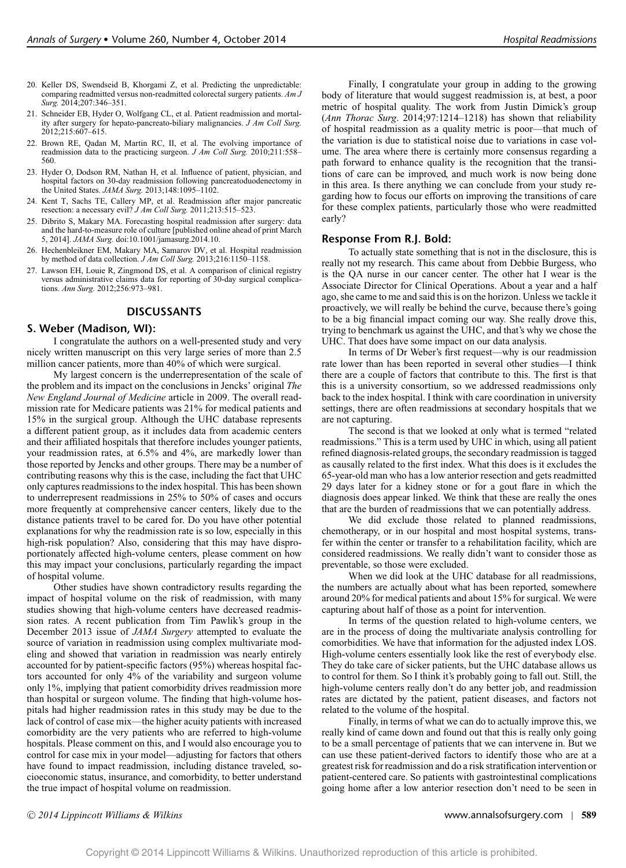- 20. Keller DS, Swendseid B, Khorgami Z, et al. Predicting the unpredictable: comparing readmitted versus non-readmitted colorectal surgery patients. *Am J Surg.* 2014;207:346–351.
- 21. Schneider EB, Hyder O, Wolfgang CL, et al. Patient readmission and mortality after surgery for hepato-pancreato-biliary malignancies. *J Am Coll Surg.* 2012;215:607–615.
- 22. Brown RE, Qadan M, Martin RC, II, et al. The evolving importance of readmission data to the practicing surgeon. *J Am Coll Surg.* 2010;211:558– 560.
- 23. Hyder O, Dodson RM, Nathan H, et al. Influence of patient, physician, and hospital factors on 30-day readmission following pancreatoduodenectomy in the United States. *JAMA Surg.* 2013;148:1095–1102.
- 24. Kent T, Sachs TE, Callery MP, et al. Readmission after major pancreatic resection: a necessary evil? *J Am Coll Surg.* 2011;213:515–523.
- 25. Dibrito S, Makary MA. Forecasting hospital readmission after surgery: data and the hard-to-measure role of culture [published online ahead of print March 5, 2014]. *JAMA Surg.* doi:10.1001/jamasurg.2014.10.
- 26. Hechenbleikner EM, Makary MA, Samarov DV, et al. Hospital readmission by method of data collection. *J Am Coll Surg.* 2013;216:1150–1158.
- 27. Lawson EH, Louie R, Zingmond DS, et al. A comparison of clinical registry versus administrative claims data for reporting of 30-day surgical complications. *Ann Surg.* 2012;256:973–981.

# **DISCUSSANTS**

#### **S. Weber (Madison, WI):**

I congratulate the authors on a well-presented study and very nicely written manuscript on this very large series of more than 2.5 million cancer patients, more than 40% of which were surgical.

My largest concern is the underrepresentation of the scale of the problem and its impact on the conclusions in Jencks' original *The New England Journal of Medicine* article in 2009. The overall readmission rate for Medicare patients was 21% for medical patients and 15% in the surgical group. Although the UHC database represents a different patient group, as it includes data from academic centers and their affiliated hospitals that therefore includes younger patients, your readmission rates, at 6.5% and 4%, are markedly lower than those reported by Jencks and other groups. There may be a number of contributing reasons why this is the case, including the fact that UHC only captures readmissions to the index hospital. This has been shown to underrepresent readmissions in 25% to 50% of cases and occurs more frequently at comprehensive cancer centers, likely due to the distance patients travel to be cared for. Do you have other potential explanations for why the readmission rate is so low, especially in this high-risk population? Also, considering that this may have disproportionately affected high-volume centers, please comment on how this may impact your conclusions, particularly regarding the impact of hospital volume.

Other studies have shown contradictory results regarding the impact of hospital volume on the risk of readmission, with many studies showing that high-volume centers have decreased readmission rates. A recent publication from Tim Pawlik's group in the December 2013 issue of *JAMA Surgery* attempted to evaluate the source of variation in readmission using complex multivariate modeling and showed that variation in readmission was nearly entirely accounted for by patient-specific factors (95%) whereas hospital factors accounted for only 4% of the variability and surgeon volume only 1%, implying that patient comorbidity drives readmission more than hospital or surgeon volume. The finding that high-volume hospitals had higher readmission rates in this study may be due to the lack of control of case mix—the higher acuity patients with increased comorbidity are the very patients who are referred to high-volume hospitals. Please comment on this, and I would also encourage you to control for case mix in your model—adjusting for factors that others have found to impact readmission, including distance traveled, socioeconomic status, insurance, and comorbidity, to better understand the true impact of hospital volume on readmission.

Finally, I congratulate your group in adding to the growing body of literature that would suggest readmission is, at best, a poor metric of hospital quality. The work from Justin Dimick's group (*Ann Thorac Surg*. 2014;97:1214–1218) has shown that reliability of hospital readmission as a quality metric is poor—that much of the variation is due to statistical noise due to variations in case volume. The area where there is certainly more consensus regarding a path forward to enhance quality is the recognition that the transitions of care can be improved, and much work is now being done in this area. Is there anything we can conclude from your study regarding how to focus our efforts on improving the transitions of care for these complex patients, particularly those who were readmitted early?

#### **Response From R.J. Bold:**

To actually state something that is not in the disclosure, this is really not my research. This came about from Debbie Burgess, who is the QA nurse in our cancer center. The other hat I wear is the Associate Director for Clinical Operations. About a year and a half ago, she came to me and said this is on the horizon. Unless we tackle it proactively, we will really be behind the curve, because there's going to be a big financial impact coming our way. She really drove this, trying to benchmark us against the UHC, and that's why we chose the UHC. That does have some impact on our data analysis.

In terms of Dr Weber's first request—why is our readmission rate lower than has been reported in several other studies—I think there are a couple of factors that contribute to this. The first is that this is a university consortium, so we addressed readmissions only back to the index hospital. I think with care coordination in university settings, there are often readmissions at secondary hospitals that we are not capturing.

The second is that we looked at only what is termed "related readmissions." This is a term used by UHC in which, using all patient refined diagnosis-related groups, the secondary readmission is tagged as causally related to the first index. What this does is it excludes the 65-year-old man who has a low anterior resection and gets readmitted 29 days later for a kidney stone or for a gout flare in which the diagnosis does appear linked. We think that these are really the ones that are the burden of readmissions that we can potentially address.

We did exclude those related to planned readmissions, chemotherapy, or in our hospital and most hospital systems, transfer within the center or transfer to a rehabilitation facility, which are considered readmissions. We really didn't want to consider those as preventable, so those were excluded.

When we did look at the UHC database for all readmissions, the numbers are actually about what has been reported, somewhere around 20% for medical patients and about 15% for surgical. We were capturing about half of those as a point for intervention.

In terms of the question related to high-volume centers, we are in the process of doing the multivariate analysis controlling for comorbidities. We have that information for the adjusted index LOS. High-volume centers essentially look like the rest of everybody else. They do take care of sicker patients, but the UHC database allows us to control for them. So I think it's probably going to fall out. Still, the high-volume centers really don't do any better job, and readmission rates are dictated by the patient, patient diseases, and factors not related to the volume of the hospital.

Finally, in terms of what we can do to actually improve this, we really kind of came down and found out that this is really only going to be a small percentage of patients that we can intervene in. But we can use these patient-derived factors to identify those who are at a greatest risk for readmission and do a risk stratification intervention or patient-centered care. So patients with gastrointestinal complications going home after a low anterior resection don't need to be seen in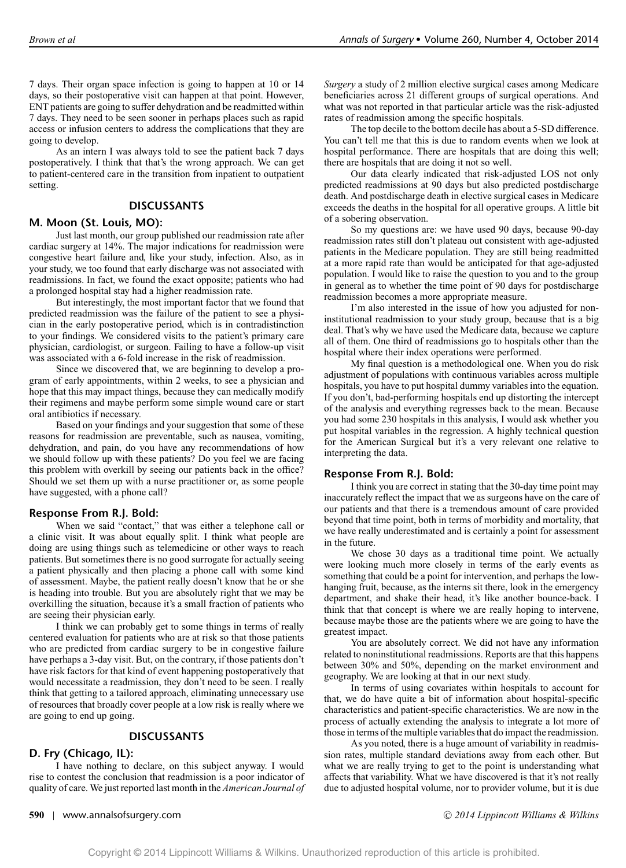7 days. Their organ space infection is going to happen at 10 or 14 days, so their postoperative visit can happen at that point. However, ENT patients are going to suffer dehydration and be readmitted within 7 days. They need to be seen sooner in perhaps places such as rapid access or infusion centers to address the complications that they are going to develop.

As an intern I was always told to see the patient back 7 days postoperatively. I think that that's the wrong approach. We can get to patient-centered care in the transition from inpatient to outpatient setting.

# **DISCUSSANTS**

# **M. Moon (St. Louis, MO):**

Just last month, our group published our readmission rate after cardiac surgery at 14%. The major indications for readmission were congestive heart failure and, like your study, infection. Also, as in your study, we too found that early discharge was not associated with readmissions. In fact, we found the exact opposite; patients who had a prolonged hospital stay had a higher readmission rate.

But interestingly, the most important factor that we found that predicted readmission was the failure of the patient to see a physician in the early postoperative period, which is in contradistinction to your findings. We considered visits to the patient's primary care physician, cardiologist, or surgeon. Failing to have a follow-up visit was associated with a 6-fold increase in the risk of readmission.

Since we discovered that, we are beginning to develop a program of early appointments, within 2 weeks, to see a physician and hope that this may impact things, because they can medically modify their regimens and maybe perform some simple wound care or start oral antibiotics if necessary.

Based on your findings and your suggestion that some of these reasons for readmission are preventable, such as nausea, vomiting, dehydration, and pain, do you have any recommendations of how we should follow up with these patients? Do you feel we are facing this problem with overkill by seeing our patients back in the office? Should we set them up with a nurse practitioner or, as some people have suggested, with a phone call?

# **Response From R.J. Bold:**

When we said "contact," that was either a telephone call or a clinic visit. It was about equally split. I think what people are doing are using things such as telemedicine or other ways to reach patients. But sometimes there is no good surrogate for actually seeing a patient physically and then placing a phone call with some kind of assessment. Maybe, the patient really doesn't know that he or she is heading into trouble. But you are absolutely right that we may be overkilling the situation, because it's a small fraction of patients who are seeing their physician early.

I think we can probably get to some things in terms of really centered evaluation for patients who are at risk so that those patients who are predicted from cardiac surgery to be in congestive failure have perhaps a 3-day visit. But, on the contrary, if those patients don't have risk factors for that kind of event happening postoperatively that would necessitate a readmission, they don't need to be seen. I really think that getting to a tailored approach, eliminating unnecessary use of resources that broadly cover people at a low risk is really where we are going to end up going.

# **DISCUSSANTS**

# **D. Fry (Chicago, IL):**

I have nothing to declare, on this subject anyway. I would rise to contest the conclusion that readmission is a poor indicator of quality of care. We just reported last month in the *American Journal of* *Surgery* a study of 2 million elective surgical cases among Medicare beneficiaries across 21 different groups of surgical operations. And what was not reported in that particular article was the risk-adjusted rates of readmission among the specific hospitals.

The top decile to the bottom decile has about a 5-SD difference. You can't tell me that this is due to random events when we look at hospital performance. There are hospitals that are doing this well; there are hospitals that are doing it not so well.

Our data clearly indicated that risk-adjusted LOS not only predicted readmissions at 90 days but also predicted postdischarge death. And postdischarge death in elective surgical cases in Medicare exceeds the deaths in the hospital for all operative groups. A little bit of a sobering observation.

So my questions are: we have used 90 days, because 90-day readmission rates still don't plateau out consistent with age-adjusted patients in the Medicare population. They are still being readmitted at a more rapid rate than would be anticipated for that age-adjusted population. I would like to raise the question to you and to the group in general as to whether the time point of 90 days for postdischarge readmission becomes a more appropriate measure.

I'm also interested in the issue of how you adjusted for noninstitutional readmission to your study group, because that is a big deal. That's why we have used the Medicare data, because we capture all of them. One third of readmissions go to hospitals other than the hospital where their index operations were performed.

My final question is a methodological one. When you do risk adjustment of populations with continuous variables across multiple hospitals, you have to put hospital dummy variables into the equation. If you don't, bad-performing hospitals end up distorting the intercept of the analysis and everything regresses back to the mean. Because you had some 230 hospitals in this analysis, I would ask whether you put hospital variables in the regression. A highly technical question for the American Surgical but it's a very relevant one relative to interpreting the data.

# **Response From R.J. Bold:**

I think you are correct in stating that the 30-day time point may inaccurately reflect the impact that we as surgeons have on the care of our patients and that there is a tremendous amount of care provided beyond that time point, both in terms of morbidity and mortality, that we have really underestimated and is certainly a point for assessment in the future.

We chose 30 days as a traditional time point. We actually were looking much more closely in terms of the early events as something that could be a point for intervention, and perhaps the lowhanging fruit, because, as the interns sit there, look in the emergency department, and shake their head, it's like another bounce-back. I think that that concept is where we are really hoping to intervene, because maybe those are the patients where we are going to have the greatest impact.

You are absolutely correct. We did not have any information related to noninstitutional readmissions. Reports are that this happens between 30% and 50%, depending on the market environment and geography. We are looking at that in our next study.

In terms of using covariates within hospitals to account for that, we do have quite a bit of information about hospital-specific characteristics and patient-specific characteristics. We are now in the process of actually extending the analysis to integrate a lot more of those in terms of the multiple variables that do impact the readmission.

As you noted, there is a huge amount of variability in readmission rates, multiple standard deviations away from each other. But what we are really trying to get to the point is understanding what affects that variability. What we have discovered is that it's not really due to adjusted hospital volume, nor to provider volume, but it is due